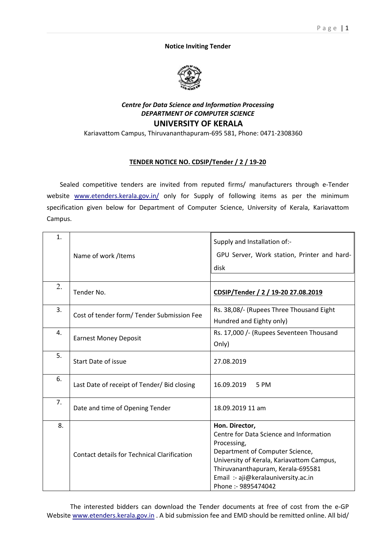## **Notice Inviting Tender**



## *Centre for Data Science and Information Processing DEPARTMENT OF COMPUTER SCIENCE*  **UNIVERSITY OF KERALA**

Kariavattom Campus, Thiruvananthapuram-695 581, Phone: 0471-2308360

## **TENDER NOTICE NO. CDSIP/Tender / 2 / 19-20**

Sealed competitive tenders are invited from reputed firms/ manufacturers through e-Tender website www.etenders.kerala.gov.in/ only for Supply of following items as per the minimum specification given below for Department of Computer Science, University of Kerala, Kariavattom Campus.

| 1. | Name of work /Items                                | Supply and Installation of:-<br>GPU Server, Work station, Printer and hard-<br>disk                                                                                                                                                                         |
|----|----------------------------------------------------|-------------------------------------------------------------------------------------------------------------------------------------------------------------------------------------------------------------------------------------------------------------|
| 2. | Tender No.                                         | CDSIP/Tender / 2 / 19-20 27.08.2019                                                                                                                                                                                                                         |
| 3. | Cost of tender form/ Tender Submission Fee         | Rs. 38,08/- (Rupees Three Thousand Eight<br>Hundred and Eighty only)                                                                                                                                                                                        |
| 4. | <b>Earnest Money Deposit</b>                       | Rs. 17,000 /- (Rupees Seventeen Thousand<br>Only)                                                                                                                                                                                                           |
| 5. | Start Date of issue                                | 27.08.2019                                                                                                                                                                                                                                                  |
| 6. | Last Date of receipt of Tender/ Bid closing        | 16.09.2019<br>5 PM                                                                                                                                                                                                                                          |
| 7. | Date and time of Opening Tender                    | 18.09.2019 11 am                                                                                                                                                                                                                                            |
| 8. | <b>Contact details for Technical Clarification</b> | Hon. Director,<br>Centre for Data Science and Information<br>Processing,<br>Department of Computer Science,<br>University of Kerala, Kariavattom Campus,<br>Thiruvananthapuram, Kerala-695581<br>Email :- aji@keralauniversity.ac.in<br>Phone: - 9895474042 |

The interested bidders can download the Tender documents at free of cost from the e-GP Website www.etenders.kerala.gov.in . A bid submission fee and EMD should be remitted online. All bid/